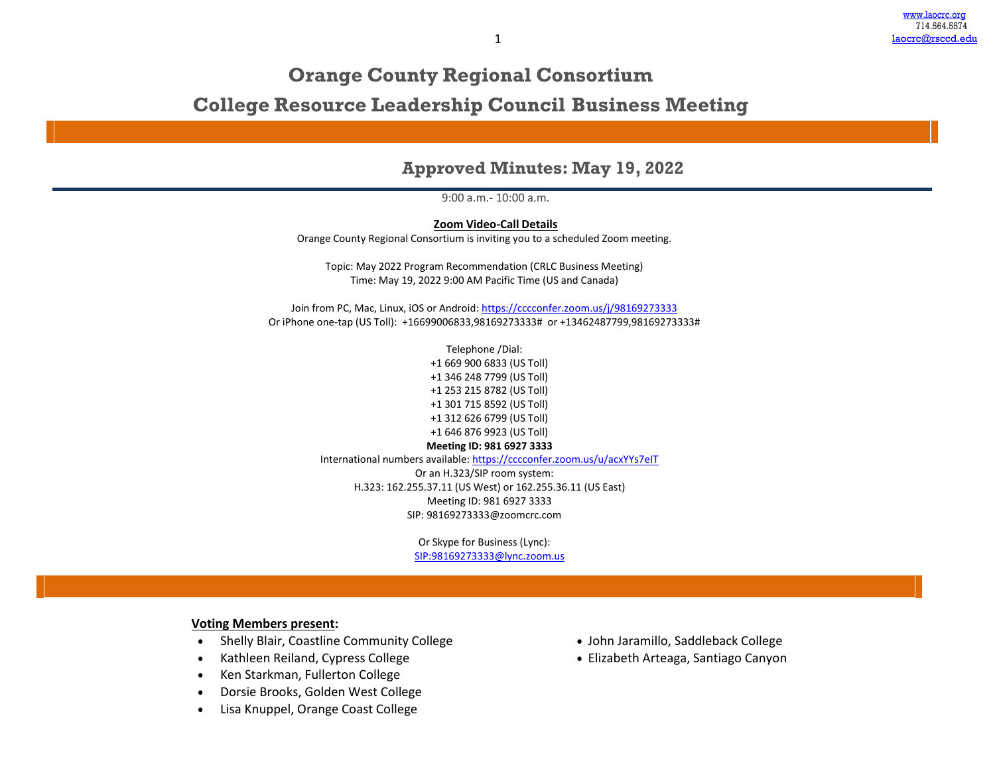# **Orange County Regional Consortium**

**College Resource Leadership Council Business Meeting**

## **Approved Minutes: May 19, 2022**

9:00 a.m.- 10:00 a.m.

**Zoom Video-Call Details** Orange County Regional Consortium is inviting you to a scheduled Zoom meeting.

Topic: May 2022 Program Recommendation (CRLC Business Meeting) Time: May 19, 2022 9:00 AM Pacific Time (US and Canada)

Join from PC, Mac, Linux, iOS or Android[: https://cccconfer.zoom.us/j/98169273333](https://cccconfer.zoom.us/j/98169273333) Or iPhone one-tap (US Toll): +16699006833,98169273333# or +13462487799,98169273333#

> Telephone /Dial: +1 669 900 6833 (US Toll) +1 346 248 7799 (US Toll) +1 253 215 8782 (US Toll) +1 301 715 8592 (US Toll) +1 312 626 6799 (US Toll) +1 646 876 9923 (US Toll) **Meeting ID: 981 6927 3333**

International numbers available:<https://cccconfer.zoom.us/u/acxYYs7eIT>

Or an H.323/SIP room system: H.323: 162.255.37.11 (US West) or 162.255.36.11 (US East) Meeting ID: 981 6927 3333 SIP: 98169273333@zoomcrc.com

> Or Skype for Business (Lync): [SIP:98169273333@lync.zoom.us](sip:98169273333@lync.zoom.us)

### **Voting Members present:**

- Shelly Blair, Coastline Community College
- Kathleen Reiland, Cypress College
- Ken Starkman, Fullerton College
- Dorsie Brooks, Golden West College
- Lisa Knuppel, Orange Coast College
- John Jaramillo, Saddleback College
- Elizabeth Arteaga, Santiago Canyon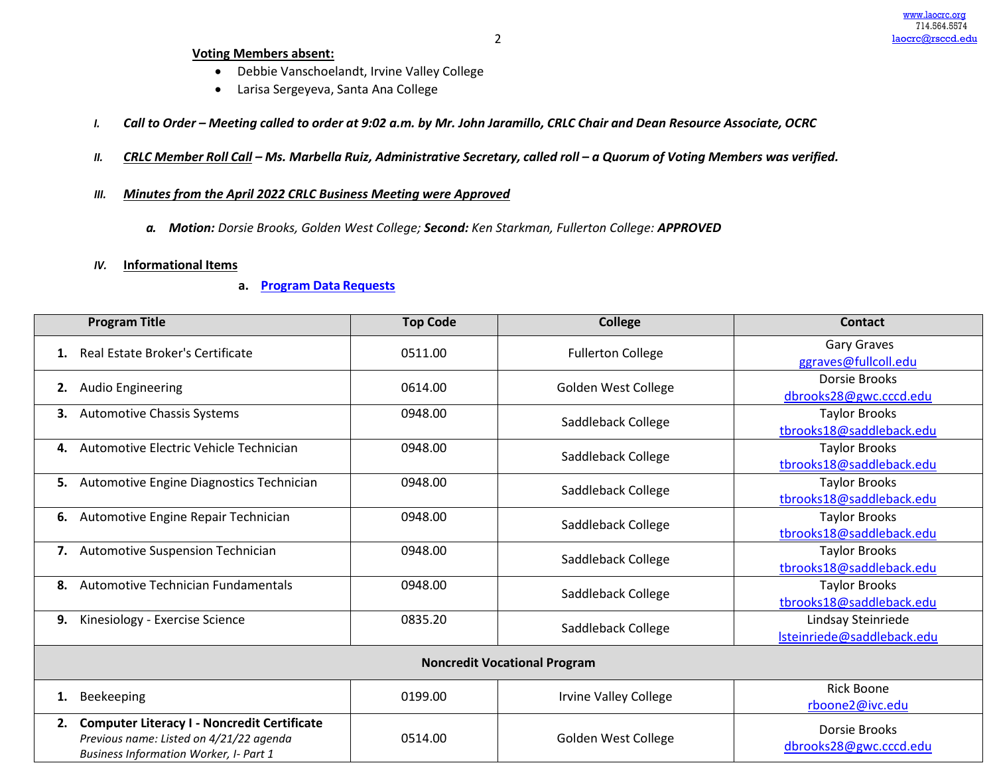#### **Voting Members absent:**

- Debbie Vanschoelandt, Irvine Valley College
- Larisa Sergeyeva, Santa Ana College
- I. Call to Order Meeting called to order at 9:02 a.m. by Mr. John Jaramillo, CRLC Chair and Dean Resource Associate, OCRC
- II. CRLC Member Roll Call Ms. Marbella Ruiz, Administrative Secretary, called roll a Quorum of Voting Members was verified.
- *III. Minutes from the April 2022 CRLC Business Meeting were Approved*
	- *a. Motion: Dorsie Brooks, Golden West College; Second: Ken Starkman, Fullerton College: APPROVED*
- *IV.* **Informational Items**
	- **a. Program Data [Requests](http://www.laocrc.org/educators/program-approval/program-intents)**

| <b>Program Title</b>                                                                                                                                 | <b>Top Code</b> | <b>College</b>                      | <b>Contact</b>                                   |  |  |
|------------------------------------------------------------------------------------------------------------------------------------------------------|-----------------|-------------------------------------|--------------------------------------------------|--|--|
| Real Estate Broker's Certificate<br>1.                                                                                                               | 0511.00         | <b>Fullerton College</b>            | Gary Graves<br>ggraves@fullcoll.edu              |  |  |
| <b>Audio Engineering</b><br>2.                                                                                                                       | 0614.00         | Golden West College                 | Dorsie Brooks<br>dbrooks28@gwc.cccd.edu          |  |  |
| <b>Automotive Chassis Systems</b><br>3.                                                                                                              | 0948.00         | Saddleback College                  | <b>Taylor Brooks</b><br>tbrooks18@saddleback.edu |  |  |
| Automotive Electric Vehicle Technician<br>4.                                                                                                         | 0948.00         | Saddleback College                  | <b>Taylor Brooks</b><br>tbrooks18@saddleback.edu |  |  |
| Automotive Engine Diagnostics Technician<br>5.                                                                                                       | 0948.00         | Saddleback College                  | <b>Taylor Brooks</b><br>tbrooks18@saddleback.edu |  |  |
| Automotive Engine Repair Technician<br>6.                                                                                                            | 0948.00         | Saddleback College                  | <b>Taylor Brooks</b><br>tbrooks18@saddleback.edu |  |  |
| 7. Automotive Suspension Technician                                                                                                                  | 0948.00         | Saddleback College                  | <b>Taylor Brooks</b><br>tbrooks18@saddleback.edu |  |  |
| Automotive Technician Fundamentals<br>8.                                                                                                             | 0948.00         | Saddleback College                  | <b>Taylor Brooks</b><br>tbrooks18@saddleback.edu |  |  |
| Kinesiology - Exercise Science<br>9.                                                                                                                 | 0835.20         | Saddleback College                  | Lindsay Steinriede<br>Isteinriede@saddleback.edu |  |  |
|                                                                                                                                                      |                 | <b>Noncredit Vocational Program</b> |                                                  |  |  |
| Beekeeping<br>1.                                                                                                                                     | 0199.00         | Irvine Valley College               | <b>Rick Boone</b><br>rboone2@ivc.edu             |  |  |
| <b>Computer Literacy I - Noncredit Certificate</b><br>2.<br>Previous name: Listed on 4/21/22 agenda<br><b>Business Information Worker, I- Part 1</b> | 0514.00         | <b>Golden West College</b>          | Dorsie Brooks<br>dbrooks28@gwc.cccd.edu          |  |  |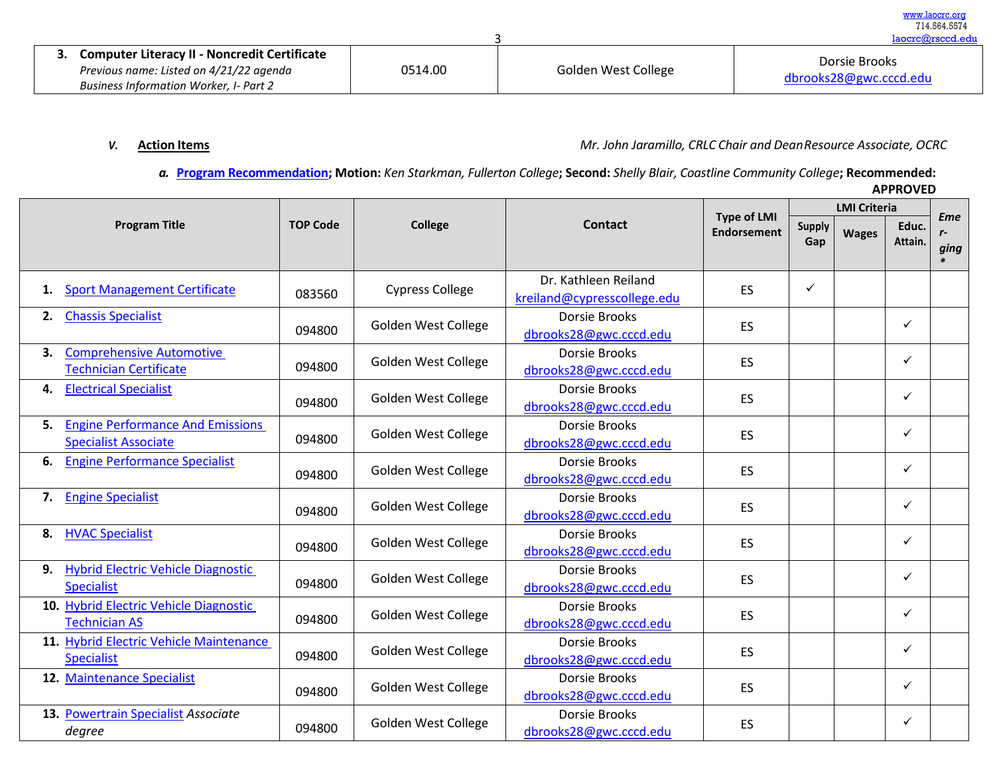| <b>Computer Literacy II - Noncredit Certificate</b><br>Previous name: Listed on 4/21/22 agenda<br><b>Business Information Worker, I- Part 2</b> | 0514.00 | Golden West College | Dorsie Brooks<br>dbrooks28@gwc.cccd.edu |
|-------------------------------------------------------------------------------------------------------------------------------------------------|---------|---------------------|-----------------------------------------|

*V.* **Action Items** *Mr. John Jaramillo, CRLC Chair and DeanResource Associate, OCRC*

*a.* **[Program Recommendation; M](https://www.regionalcte.org/browse?region=4&%3Bamp%3Bamp%3Bstatus=4&%3Bamp%3Bamp%3Bsearch&%3Bamp%3Bamp%3Bsubmit)otion:** *Ken Starkman, Fullerton College***; Second:** *Shelly Blair, Coastline Community College***; Recommended:** 

[www.laocrc.org](http://www.laocrc.org/) 714.564.5574

|                                                                              |                 |                            |                                                     | <b>Type of LMI</b> |                      | <b>LMI Criteria</b> |                  | <b>Eme</b> |
|------------------------------------------------------------------------------|-----------------|----------------------------|-----------------------------------------------------|--------------------|----------------------|---------------------|------------------|------------|
| <b>Program Title</b>                                                         | <b>TOP Code</b> | <b>College</b>             | Contact                                             | <b>Endorsement</b> | <b>Supply</b><br>Gap | <b>Wages</b>        | Educ.<br>Attain. | $r-$       |
|                                                                              |                 |                            |                                                     |                    |                      |                     |                  | ging       |
| <b>Sport Management Certificate</b><br>1.                                    | 083560          | <b>Cypress College</b>     | Dr. Kathleen Reiland<br>kreiland@cypresscollege.edu | ES                 | ✓                    |                     |                  |            |
| <b>Chassis Specialist</b><br>2.                                              | 094800          | <b>Golden West College</b> | Dorsie Brooks<br>dbrooks28@gwc.cccd.edu             | <b>ES</b>          |                      |                     | ✓                |            |
| <b>Comprehensive Automotive</b><br>3.<br><b>Technician Certificate</b>       | 094800          | Golden West College        | <b>Dorsie Brooks</b><br>dbrooks28@gwc.cccd.edu      | ES                 |                      |                     | ✓                |            |
| <b>Electrical Specialist</b><br>4.                                           | 094800          | <b>Golden West College</b> | <b>Dorsie Brooks</b><br>dbrooks28@gwc.cccd.edu      | <b>ES</b>          |                      |                     | ✓                |            |
| <b>Engine Performance And Emissions</b><br>5.<br><b>Specialist Associate</b> | 094800          | <b>Golden West College</b> | <b>Dorsie Brooks</b><br>dbrooks28@gwc.cccd.edu      | ES                 |                      |                     | ✓                |            |
| <b>Engine Performance Specialist</b><br>6.                                   | 094800          | <b>Golden West College</b> | Dorsie Brooks<br>dbrooks28@gwc.cccd.edu             | ES                 |                      |                     | ✓                |            |
| <b>Engine Specialist</b><br>7.                                               | 094800          | <b>Golden West College</b> | <b>Dorsie Brooks</b><br>dbrooks28@gwc.cccd.edu      | ES                 |                      |                     | ✓                |            |
| <b>HVAC Specialist</b><br>8.                                                 | 094800          | <b>Golden West College</b> | Dorsie Brooks<br>dbrooks28@gwc.cccd.edu             | ES                 |                      |                     | ✓                |            |
| Hybrid Electric Vehicle Diagnostic<br>9.<br><b>Specialist</b>                | 094800          | Golden West College        | Dorsie Brooks<br>dbrooks28@gwc.cccd.edu             | ES                 |                      |                     | ✓                |            |
| 10. Hybrid Electric Vehicle Diagnostic<br><b>Technician AS</b>               | 094800          | Golden West College        | Dorsie Brooks<br>dbrooks28@gwc.cccd.edu             | ES                 |                      |                     | ✓                |            |
| 11. Hybrid Electric Vehicle Maintenance<br><b>Specialist</b>                 | 094800          | <b>Golden West College</b> | Dorsie Brooks<br>dbrooks28@gwc.cccd.edu             | ES                 |                      |                     | ✓                |            |
| 12. Maintenance Specialist                                                   | 094800          | <b>Golden West College</b> | Dorsie Brooks<br>dbrooks28@gwc.cccd.edu             | ES                 |                      |                     | ✓                |            |
| 13. Powertrain Specialist Associate<br>degree                                | 094800          | <b>Golden West College</b> | Dorsie Brooks<br>dbrooks28@gwc.cccd.edu             | ES                 |                      |                     | ✓                |            |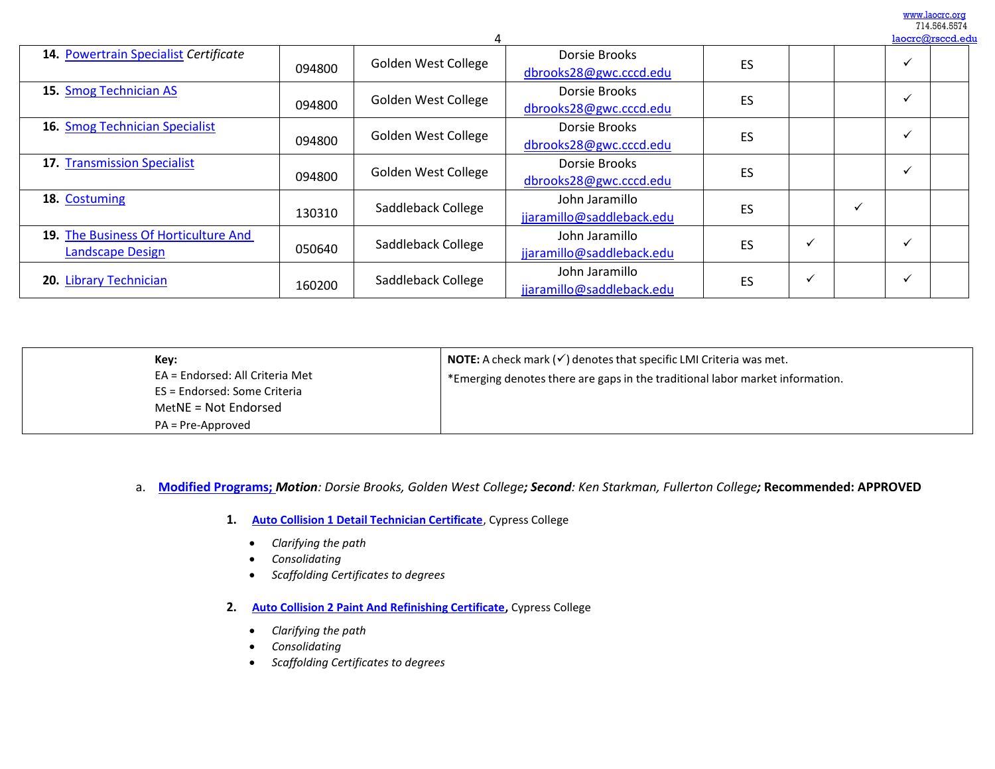[www.laocrc.org](http://www.laocrc.org/) 714.564.5574<br>manufacad.edu

|                                                                 |        |                     |                                             |    |  | laocrc@rsccd.edu         |
|-----------------------------------------------------------------|--------|---------------------|---------------------------------------------|----|--|--------------------------|
| 14. Powertrain Specialist Certificate                           | 094800 | Golden West College | Dorsie Brooks<br>dbrooks28@gwc.cccd.edu     | ES |  | v                        |
| 15. Smog Technician AS                                          | 094800 | Golden West College | Dorsie Brooks<br>dbrooks28@gwc.cccd.edu     | ES |  | v                        |
| 16. Smog Technician Specialist                                  | 094800 | Golden West College | Dorsie Brooks<br>dbrooks28@gwc.cccd.edu     | ES |  | $\overline{\phantom{a}}$ |
| 17. Transmission Specialist                                     | 094800 | Golden West College | Dorsie Brooks<br>dbrooks28@gwc.cccd.edu     | ES |  |                          |
| 18. Costuming                                                   | 130310 | Saddleback College  | John Jaramillo<br>jjaramillo@saddleback.edu | ES |  |                          |
| 19. The Business Of Horticulture And<br><b>Landscape Design</b> | 050640 | Saddleback College  | John Jaramillo<br>jjaramillo@saddleback.edu | ES |  |                          |
| 20. Library Technician                                          | 160200 | Saddleback College  | John Jaramillo<br>jjaramillo@saddleback.edu | ES |  |                          |

| Key:<br>EA = Endorsed: All Criteria Met<br>ES = Endorsed: Some Criteria<br>MetNE = Not Endorsed | <b>NOTE:</b> A check mark $(\checkmark)$ denotes that specific LMI Criteria was met.<br>*Emerging denotes there are gaps in the traditional labor market information. |
|-------------------------------------------------------------------------------------------------|-----------------------------------------------------------------------------------------------------------------------------------------------------------------------|
| PA = Pre-Approved                                                                               |                                                                                                                                                                       |

### a. **[Modified Programs;](https://www.regionalcte.org/browse?region=4&%3Bamp%3Bamp%3Bstatus=4&%3Bamp%3Bamp%3Bsearch&%3Bamp%3Bamp%3Bsubmit)** *Motion: Dorsie Brooks, Golden West College; Second: Ken Starkman, Fullerton College;* **Recommended: APPROVED**

- **1. [Auto Collision 1 Detail Technician Certificate](https://www.regionalcte.org/browse/3jjpo)**, Cypress College
	- *Clarifying the path*
	- *Consolidating*
	- *Scaffolding Certificates to degrees*
- **2. [Auto Collision 2 Paint And Refinishing Certificate,](https://www.regionalcte.org/browse/40gb8)** Cypress College
	- *Clarifying the path*
	- *Consolidating*
	- *Scaffolding Certificates to degrees*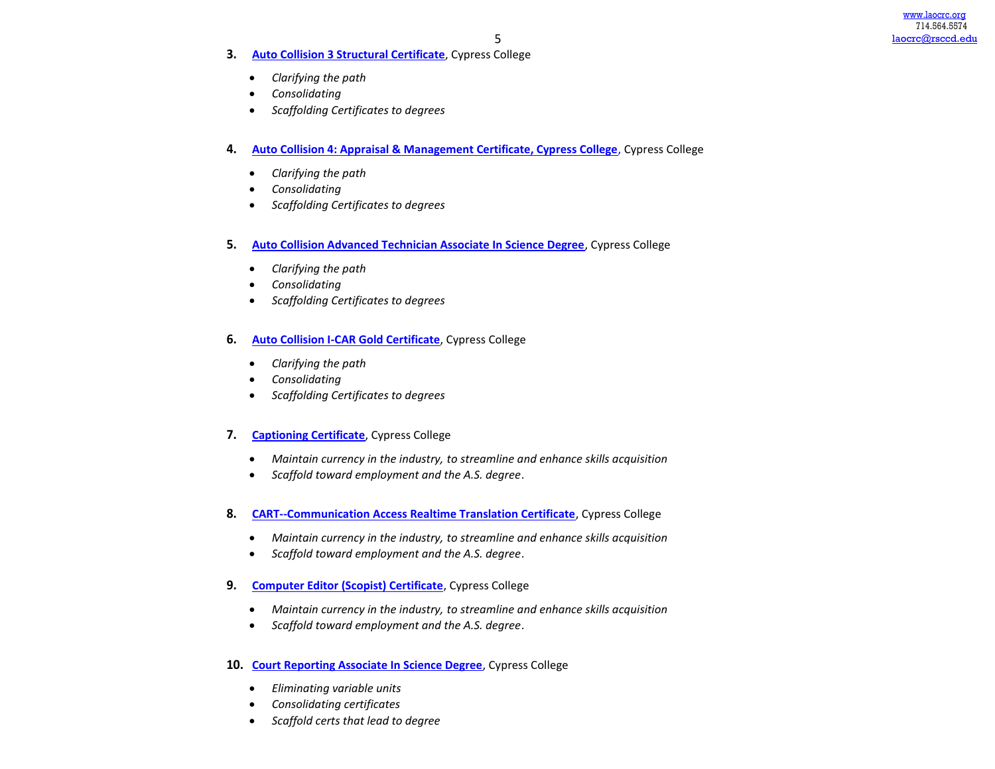- **3. [Auto Collision 3 Structural Certificate](https://www.regionalcte.org/browse/KeqDJ)**, Cypress College
	- *Clarifying the path*
	- *Consolidating*
	- *Scaffolding Certificates to degrees*
- **4. [Auto Collision 4: Appraisal & Management Certificate, Cypress College](https://www.regionalcte.org/browse/3Q5jm)**, Cypress College
	- *Clarifying the path*
	- *Consolidating*
	- *Scaffolding Certificates to degrees*
- **5. [Auto Collision Advanced Technician Associate In Science Degree](https://www.regionalcte.org/browse/41Gmb)**, Cypress College
	- *Clarifying the path*
	- *Consolidating*
	- *Scaffolding Certificates to degrees*
- **6. [Auto Collision I-CAR Gold Certificate](https://www.regionalcte.org/browse/3Lkle)**, Cypress College
	- *Clarifying the path*
	- *Consolidating*
	- *Scaffolding Certificates to degrees*
- **7. [Captioning Certificate](https://www.regionalcte.org/browse/ZMqJ6)**, Cypress College
	- *Maintain currency in the industry, to streamline and enhance skills acquisition*
	- *Scaffold toward employment and the A.S. degree*.
- **8. [CART--Communication Access Realtime Translation Certificate](https://www.regionalcte.org/browse/3qPVN)**, Cypress College
	- *Maintain currency in the industry, to streamline and enhance skills acquisition*
	- *Scaffold toward employment and the A.S. degree*.
- **9. [Computer Editor \(Scopist\) Certificate](https://www.regionalcte.org/browse/3ad89)**, Cypress College
	- *Maintain currency in the industry, to streamline and enhance skills acquisition*
	- *Scaffold toward employment and the A.S. degree*.
- **10. [Court Reporting Associate In Science Degree](https://www.regionalcte.org/browse/3WzG0)**, Cypress College
	- *Eliminating variable units*
	- *Consolidating certificates*
	- *Scaffold certs that lead to degree*